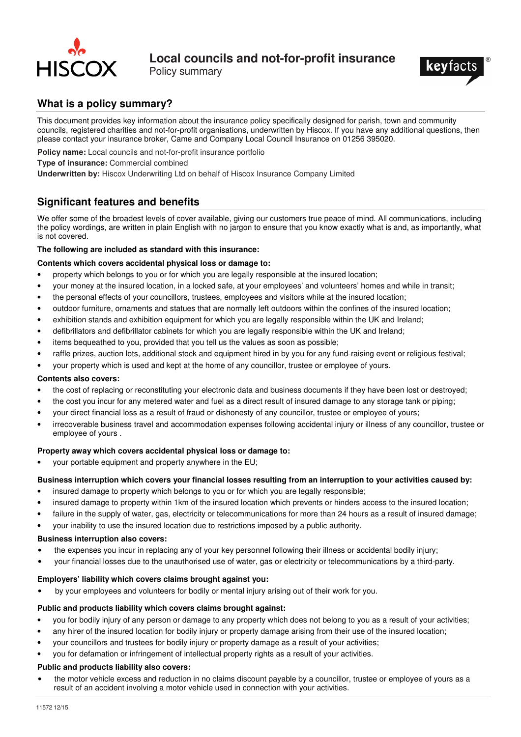

Policy summary



# **What is a policy summary?**

This document provides key information about the insurance policy specifically designed for parish, town and community councils, registered charities and not-for-profit organisations, underwritten by Hiscox. If you have any additional questions, then please contact your insurance broker, Came and Company Local Council Insurance on 01256 395020.

- **Policy name:** Local councils and not-for-profit insurance portfolio
- **Type of insurance:** Commercial combined

**Underwritten by:** Hiscox Underwriting Ltd on behalf of Hiscox Insurance Company Limited

# **Significant features and benefits**

We offer some of the broadest levels of cover available, giving our customers true peace of mind. All communications, including the policy wordings, are written in plain English with no jargon to ensure that you know exactly what is and, as importantly, what is not covered.

### **The following are included as standard with this insurance:**

### **Contents which covers accidental physical loss or damage to:**

- property which belongs to you or for which you are legally responsible at the insured location;
- your money at the insured location, in a locked safe, at your employees' and volunteers' homes and while in transit;
- the personal effects of your councillors, trustees, employees and visitors while at the insured location;
- outdoor furniture, ornaments and statues that are normally left outdoors within the confines of the insured location;
- exhibition stands and exhibition equipment for which you are legally responsible within the UK and Ireland;
- defibrillators and defibrillator cabinets for which you are legally responsible within the UK and Ireland;
- items bequeathed to you, provided that you tell us the values as soon as possible;
- raffle prizes, auction lots, additional stock and equipment hired in by you for any fund-raising event or religious festival;
- your property which is used and kept at the home of any councillor, trustee or employee of yours.

### **Contents also covers:**

- the cost of replacing or reconstituting your electronic data and business documents if they have been lost or destroyed;
- the cost you incur for any metered water and fuel as a direct result of insured damage to any storage tank or piping;
- your direct financial loss as a result of fraud or dishonesty of any councillor, trustee or employee of yours;
- irrecoverable business travel and accommodation expenses following accidental injury or illness of any councillor, trustee or employee of yours .

## **Property away which covers accidental physical loss or damage to:**

• your portable equipment and property anywhere in the EU;

## **Business interruption which covers your financial losses resulting from an interruption to your activities caused by:**

- insured damage to property which belongs to you or for which you are legally responsible;
- insured damage to property within 1km of the insured location which prevents or hinders access to the insured location;
- failure in the supply of water, gas, electricity or telecommunications for more than 24 hours as a result of insured damage;
- your inability to use the insured location due to restrictions imposed by a public authority.

### **Business interruption also covers:**

- the expenses you incur in replacing any of your key personnel following their illness or accidental bodily injury;
- your financial losses due to the unauthorised use of water, gas or electricity or telecommunications by a third-party.

## **Employers' liability which covers claims brought against you:**

• by your employees and volunteers for bodily or mental injury arising out of their work for you.

## **Public and products liability which covers claims brought against:**

- you for bodily injury of any person or damage to any property which does not belong to you as a result of your activities;
	- any hirer of the insured location for bodily injury or property damage arising from their use of the insured location;
- your councillors and trustees for bodily injury or property damage as a result of your activities;
- you for defamation or infringement of intellectual property rights as a result of your activities.

## **Public and products liability also covers:**

• the motor vehicle excess and reduction in no claims discount payable by a councillor, trustee or employee of yours as a result of an accident involving a motor vehicle used in connection with your activities.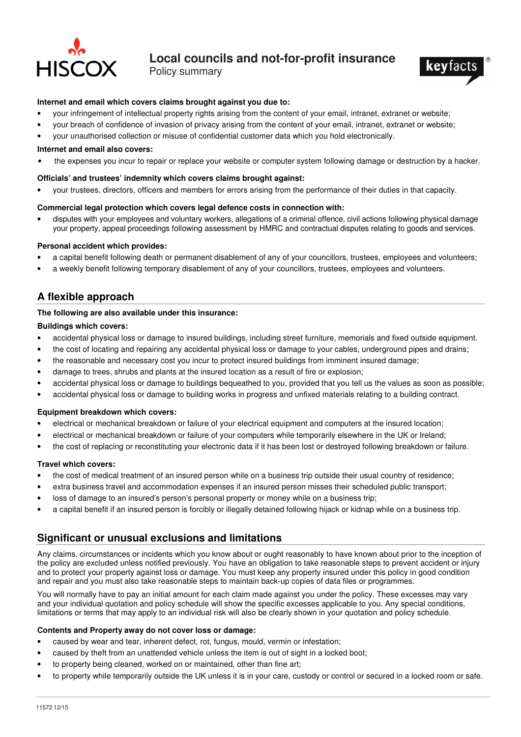

Policy summary



### **Internet and email which covers claims brought against you due to:**

- your infringement of intellectual property rights arising from the content of your email, intranet, extranet or website;
- your breach of confidence of invasion of privacy arising from the content of your email, intranet, extranet or website;
- your unauthorised collection or misuse of confidential customer data which you hold electronically.

#### **Internet and email also covers:**

• the expenses you incur to repair or replace your website or computer system following damage or destruction by a hacker.

### **Officials' and trustees' indemnity which covers claims brought against:**

• your trustees, directors, officers and members for errors arising from the performance of their duties in that capacity.

### **Commercial legal protection which covers legal defence costs in connection with:**

• disputes with your employees and voluntary workers, allegations of a criminal offence, civil actions following physical damage your property, appeal proceedings following assessment by HMRC and contractual disputes relating to goods and services.

### **Personal accident which provides:**

- a capital benefit following death or permanent disablement of any of your councillors, trustees, employees and volunteers;
- a weekly benefit following temporary disablement of any of your councillors, trustees, employees and volunteers.

## **A flexible approach**

### **The following are also available under this insurance:**

### **Buildings which covers:**

- accidental physical loss or damage to insured buildings, including street furniture, memorials and fixed outside equipment.
- the cost of locating and repairing any accidental physical loss or damage to your cables, underground pipes and drains;
- the reasonable and necessary cost you incur to protect insured buildings from imminent insured damage;
- damage to trees, shrubs and plants at the insured location as a result of fire or explosion;
- accidental physical loss or damage to buildings bequeathed to you, provided that you tell us the values as soon as possible;
- accidental physical loss or damage to building works in progress and unfixed materials relating to a building contract.

### **Equipment breakdown which covers:**

- electrical or mechanical breakdown or failure of your electrical equipment and computers at the insured location;
- electrical or mechanical breakdown or failure of your computers while temporarily elsewhere in the UK or Ireland;
- the cost of replacing or reconstituting your electronic data if it has been lost or destroyed following breakdown or failure.

### **Travel which covers:**

- the cost of medical treatment of an insured person while on a business trip outside their usual country of residence;
- extra business travel and accommodation expenses if an insured person misses their scheduled public transport;
- loss of damage to an insured's person's personal property or money while on a business trip;
- a capital benefit if an insured person is forcibly or illegally detained following hijack or kidnap while on a business trip.

## **Significant or unusual exclusions and limitations**

Any claims, circumstances or incidents which you know about or ought reasonably to have known about prior to the inception of the policy are excluded unless notified previously. You have an obligation to take reasonable steps to prevent accident or injury and to protect your property against loss or damage. You must keep any property insured under this policy in good condition and repair and you must also take reasonable steps to maintain back-up copies of data files or programmes.

You will normally have to pay an initial amount for each claim made against you under the policy. These excesses may vary and your individual quotation and policy schedule will show the specific excesses applicable to you. Any special conditions, limitations or terms that may apply to an individual risk will also be clearly shown in your quotation and policy schedule.

#### **Contents and Property away do not cover loss or damage:**

- caused by wear and tear, inherent defect, rot, fungus, mould, vermin or infestation;
- caused by theft from an unattended vehicle unless the item is out of sight in a locked boot;
- to property being cleaned, worked on or maintained, other than fine art;
- to property while temporarily outside the UK unless it is in your care, custody or control or secured in a locked room or safe.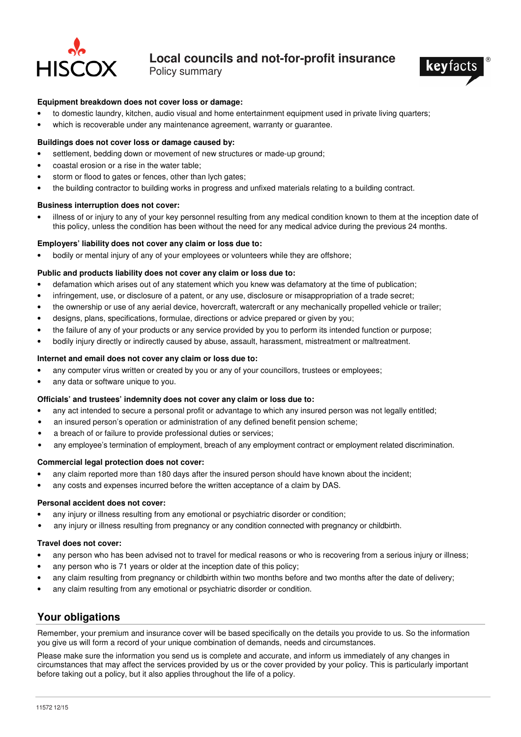

Policy summary



### **Equipment breakdown does not cover loss or damage:**

- to domestic laundry, kitchen, audio visual and home entertainment equipment used in private living quarters;
- which is recoverable under any maintenance agreement, warranty or quarantee.

### **Buildings does not cover loss or damage caused by:**

- settlement, bedding down or movement of new structures or made-up ground;
- coastal erosion or a rise in the water table;
- storm or flood to gates or fences, other than lych gates;
- the building contractor to building works in progress and unfixed materials relating to a building contract.

### **Business interruption does not cover:**

• illness of or injury to any of your key personnel resulting from any medical condition known to them at the inception date of this policy, unless the condition has been without the need for any medical advice during the previous 24 months.

#### **Employers' liability does not cover any claim or loss due to:**

• bodily or mental injury of any of your employees or volunteers while they are offshore;

### **Public and products liability does not cover any claim or loss due to:**

- defamation which arises out of any statement which you knew was defamatory at the time of publication;
- infringement, use, or disclosure of a patent, or any use, disclosure or misappropriation of a trade secret;
- the ownership or use of any aerial device, hovercraft, watercraft or any mechanically propelled vehicle or trailer;
- designs, plans, specifications, formulae, directions or advice prepared or given by you;
- the failure of any of your products or any service provided by you to perform its intended function or purpose;
- bodily injury directly or indirectly caused by abuse, assault, harassment, mistreatment or maltreatment.

### **Internet and email does not cover any claim or loss due to:**

- any computer virus written or created by you or any of your councillors, trustees or employees;
- any data or software unique to you.

### **Officials' and trustees' indemnity does not cover any claim or loss due to:**

- any act intended to secure a personal profit or advantage to which any insured person was not legally entitled;
- an insured person's operation or administration of any defined benefit pension scheme;
- a breach of or failure to provide professional duties or services;
- any employee's termination of employment, breach of any employment contract or employment related discrimination.

### **Commercial legal protection does not cover:**

- any claim reported more than 180 days after the insured person should have known about the incident;
- any costs and expenses incurred before the written acceptance of a claim by DAS.

#### **Personal accident does not cover:**

- any injury or illness resulting from any emotional or psychiatric disorder or condition;
- any injury or illness resulting from pregnancy or any condition connected with pregnancy or childbirth.

#### **Travel does not cover:**

- any person who has been advised not to travel for medical reasons or who is recovering from a serious injury or illness;
- any person who is 71 years or older at the inception date of this policy;
- any claim resulting from pregnancy or childbirth within two months before and two months after the date of delivery;
- any claim resulting from any emotional or psychiatric disorder or condition.

# **Your obligations**

Remember, your premium and insurance cover will be based specifically on the details you provide to us. So the information you give us will form a record of your unique combination of demands, needs and circumstances.

Please make sure the information you send us is complete and accurate, and inform us immediately of any changes in circumstances that may affect the services provided by us or the cover provided by your policy. This is particularly important before taking out a policy, but it also applies throughout the life of a policy.